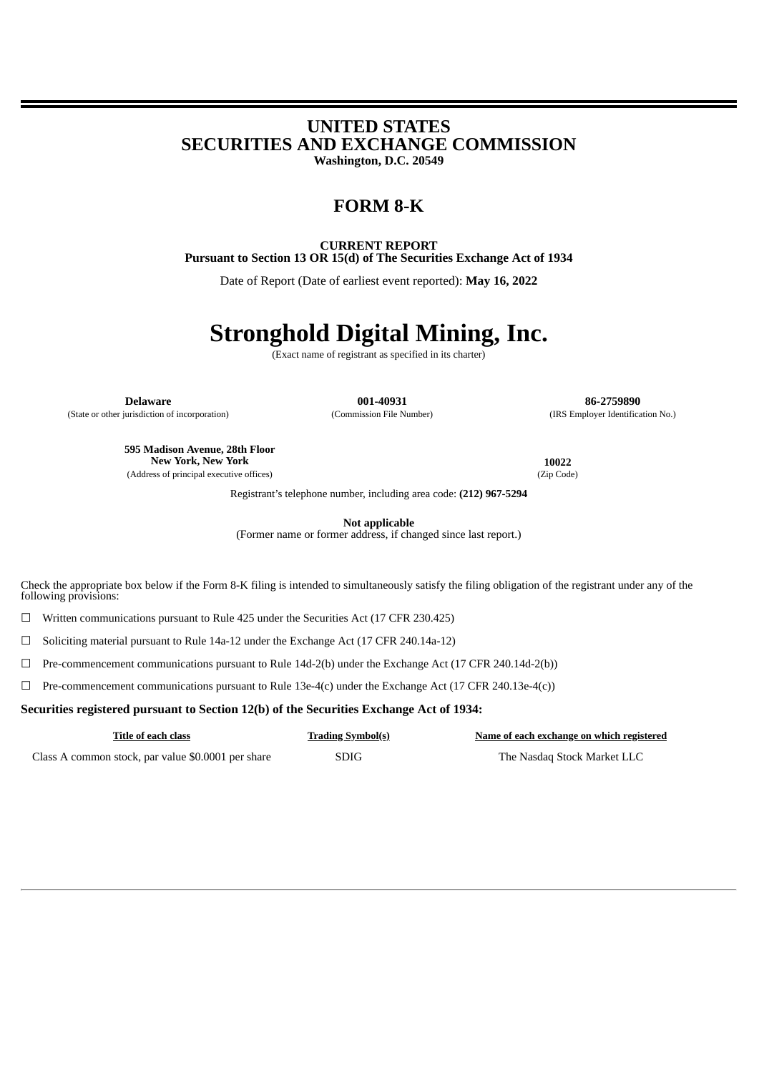## **UNITED STATES SECURITIES AND EXCHANGE COMMISSION**

**Washington, D.C. 20549**

### **FORM 8-K**

**CURRENT REPORT Pursuant to Section 13 OR 15(d) of The Securities Exchange Act of 1934**

Date of Report (Date of earliest event reported): **May 16, 2022**

# **Stronghold Digital Mining, Inc.**

(Exact name of registrant as specified in its charter)

**Delaware 001-40931 86-2759890** (State or other jurisdiction of incorporation) (Commission File Number) (IRS Employer Identification No.)

**595 Madison Avenue, 28th Floor New York, New York 10022** (Address of principal executive offices) (Zip Code)

Registrant's telephone number, including area code: **(212) 967-5294**

**Not applicable**

(Former name or former address, if changed since last report.)

Check the appropriate box below if the Form 8-K filing is intended to simultaneously satisfy the filing obligation of the registrant under any of the following provisions:

☐ Written communications pursuant to Rule 425 under the Securities Act (17 CFR 230.425)

☐ Soliciting material pursuant to Rule 14a-12 under the Exchange Act (17 CFR 240.14a-12)

☐ Pre-commencement communications pursuant to Rule 14d-2(b) under the Exchange Act (17 CFR 240.14d-2(b))

 $\Box$  Pre-commencement communications pursuant to Rule 13e-4(c) under the Exchange Act (17 CFR 240.13e-4(c))

**Securities registered pursuant to Section 12(b) of the Securities Exchange Act of 1934:**

| Title of each class                                | <b>Trading Symbol(s)</b> | Name of each exchange on which registered |
|----------------------------------------------------|--------------------------|-------------------------------------------|
| Class A common stock, par value \$0.0001 per share | <b>SDIG</b>              | The Nasdag Stock Market LLC               |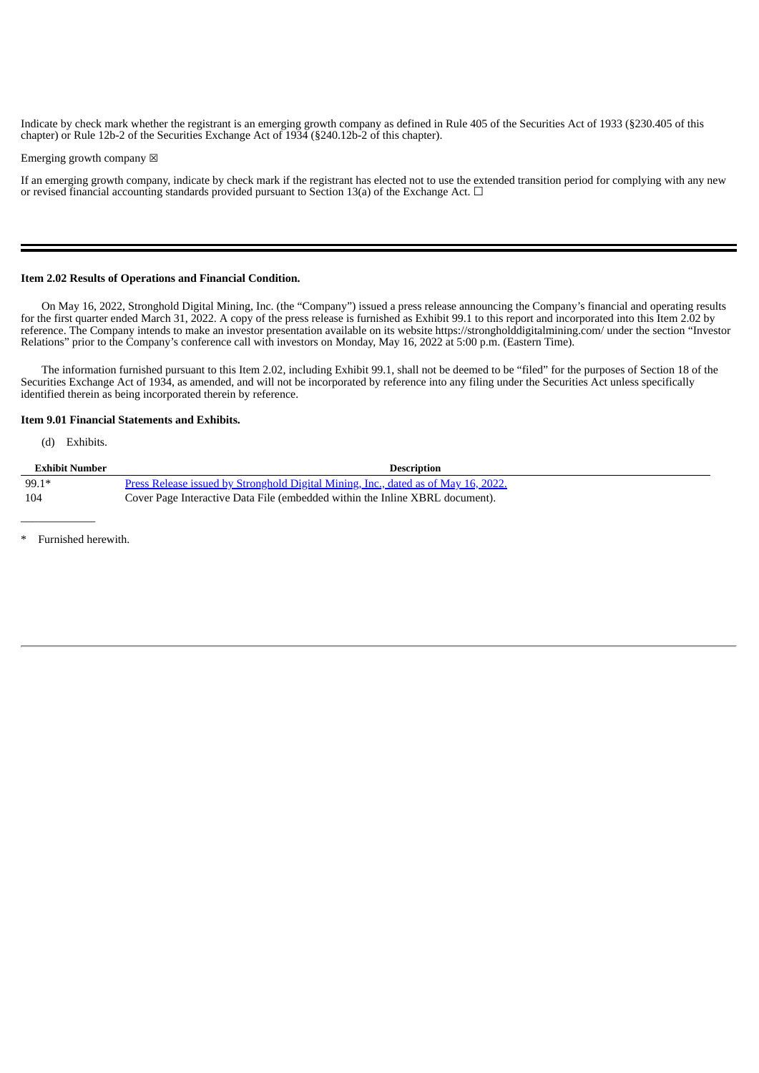Indicate by check mark whether the registrant is an emerging growth company as defined in Rule 405 of the Securities Act of 1933 (§230.405 of this chapter) or Rule 12b-2 of the Securities Exchange Act of 1934 (§240.12b-2 of this chapter).

Emerging growth company  $\boxtimes$ 

If an emerging growth company, indicate by check mark if the registrant has elected not to use the extended transition period for complying with any new or revised financial accounting standards provided pursuant to Section 13(a) of the Exchange Act.  $\Box$ 

#### **Item 2.02 Results of Operations and Financial Condition.**

On May 16, 2022, Stronghold Digital Mining, Inc. (the "Company") issued a press release announcing the Company's financial and operating results for the first quarter ended March 31, 2022. A copy of the press release is furnished as Exhibit 99.1 to this report and incorporated into this Item 2.02 by reference. The Company intends to make an investor presentation available on its website https://strongholddigitalmining.com/ under the section "Investor Relations" prior to the Company's conference call with investors on Monday, May 16, 2022 at 5:00 p.m. (Eastern Time).

The information furnished pursuant to this Item 2.02, including Exhibit 99.1, shall not be deemed to be "filed" for the purposes of Section 18 of the Securities Exchange Act of 1934, as amended, and will not be incorporated by reference into any filing under the Securities Act unless specifically identified therein as being incorporated therein by reference.

#### **Item 9.01 Financial Statements and Exhibits.**

(d) Exhibits.

| Exhibit Number | <b>Description</b>                                                                 |
|----------------|------------------------------------------------------------------------------------|
| $99.1*$        | Press Release issued by Stronghold Digital Mining, Inc., dated as of May 16, 2022. |
| - 104          | Cover Page Interactive Data File (embedded within the Inline XBRL document).       |

Furnished herewith.

 $\overline{\phantom{a}}$  , where  $\overline{\phantom{a}}$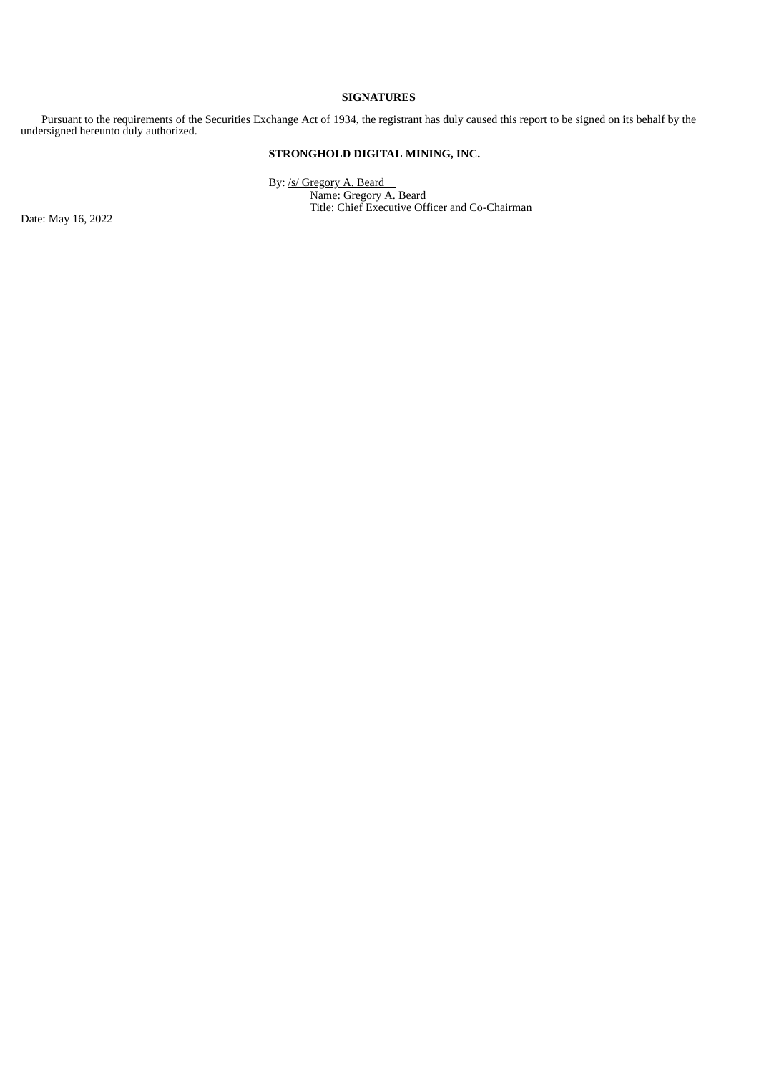#### **SIGNATURES**

Pursuant to the requirements of the Securities Exchange Act of 1934, the registrant has duly caused this report to be signed on its behalf by the undersigned hereunto duly authorized.

#### **STRONGHOLD DIGITAL MINING, INC.**

By: /s/ Gregory A. Beard Name: Gregory A. Beard Title: Chief Executive Officer and Co-Chairman

Date: May 16, 2022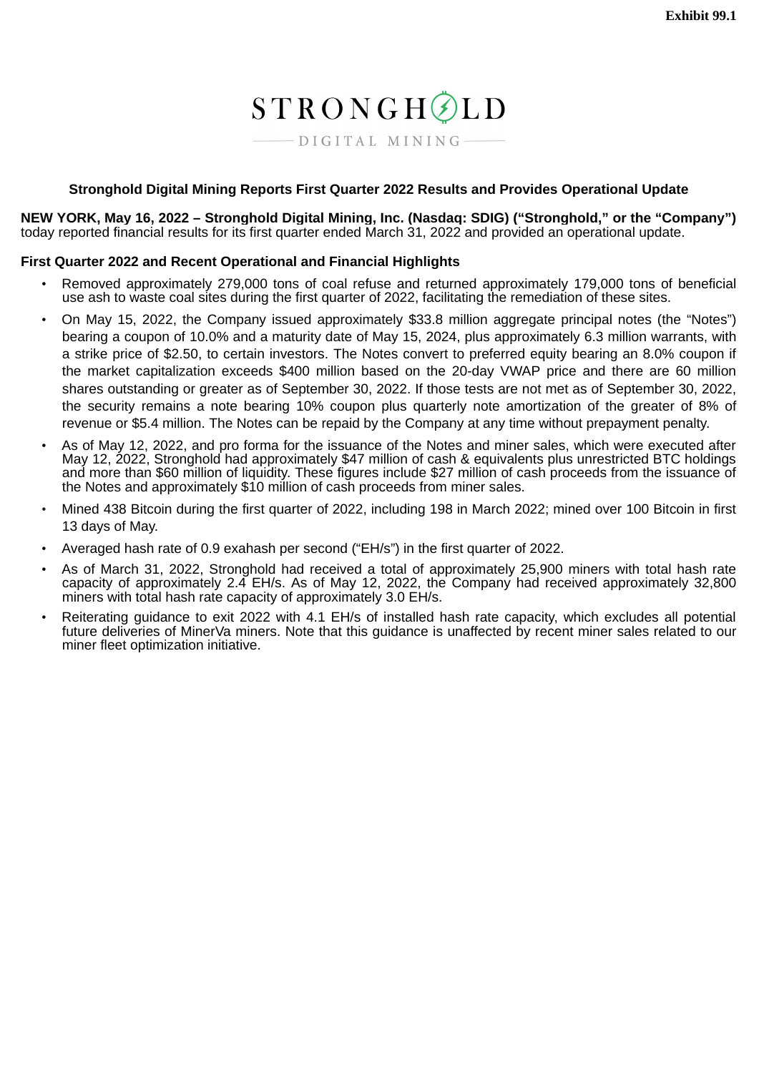# STRONGHØLD

 $-$  DIGITAL MINING-

#### <span id="page-3-0"></span>**Stronghold Digital Mining Reports First Quarter 2022 Results and Provides Operational Update**

**NEW YORK, May 16, 2022 – Stronghold Digital Mining, Inc. (Nasdaq: SDIG) ("Stronghold," or the "Company")** today reported financial results for its first quarter ended March 31, 2022 and provided an operational update.

#### **First Quarter 2022 and Recent Operational and Financial Highlights**

- Removed approximately 279,000 tons of coal refuse and returned approximately 179,000 tons of beneficial use ash to waste coal sites during the first quarter of 2022, facilitating the remediation of these sites.
- On May 15, 2022, the Company issued approximately \$33.8 million aggregate principal notes (the "Notes") bearing a coupon of 10.0% and a maturity date of May 15, 2024, plus approximately 6.3 million warrants, with a strike price of \$2.50, to certain investors. The Notes convert to preferred equity bearing an 8.0% coupon if the market capitalization exceeds \$400 million based on the 20-day VWAP price and there are 60 million shares outstanding or greater as of September 30, 2022. If those tests are not met as of September 30, 2022, the security remains a note bearing 10% coupon plus quarterly note amortization of the greater of 8% of revenue or \$5.4 million. The Notes can be repaid by the Company at any time without prepayment penalty.
- As of May 12, 2022, and pro forma for the issuance of the Notes and miner sales, which were executed after May 12, 2022, Stronghold had approximately \$47 million of cash & equivalents plus unrestricted BTC holdings and more than \$60 million of liquidity. These figures include \$27 million of cash proceeds from the issuance of the Notes and approximately \$10 million of cash proceeds from miner sales.
- Mined 438 Bitcoin during the first quarter of 2022, including 198 in March 2022; mined over 100 Bitcoin in first 13 days of May.
- Averaged hash rate of 0.9 exahash per second ("EH/s") in the first quarter of 2022.
- As of March 31, 2022, Stronghold had received a total of approximately 25,900 miners with total hash rate capacity of approximately 2.4 EH/s. As of May 12, 2022, the Company had received approximately 32,800 miners with total hash rate capacity of approximately 3.0 EH/s.
- Reiterating guidance to exit 2022 with 4.1 EH/s of installed hash rate capacity, which excludes all potential future deliveries of MinerVa miners. Note that this guidance is unaffected by recent miner sales related to our miner fleet optimization initiative.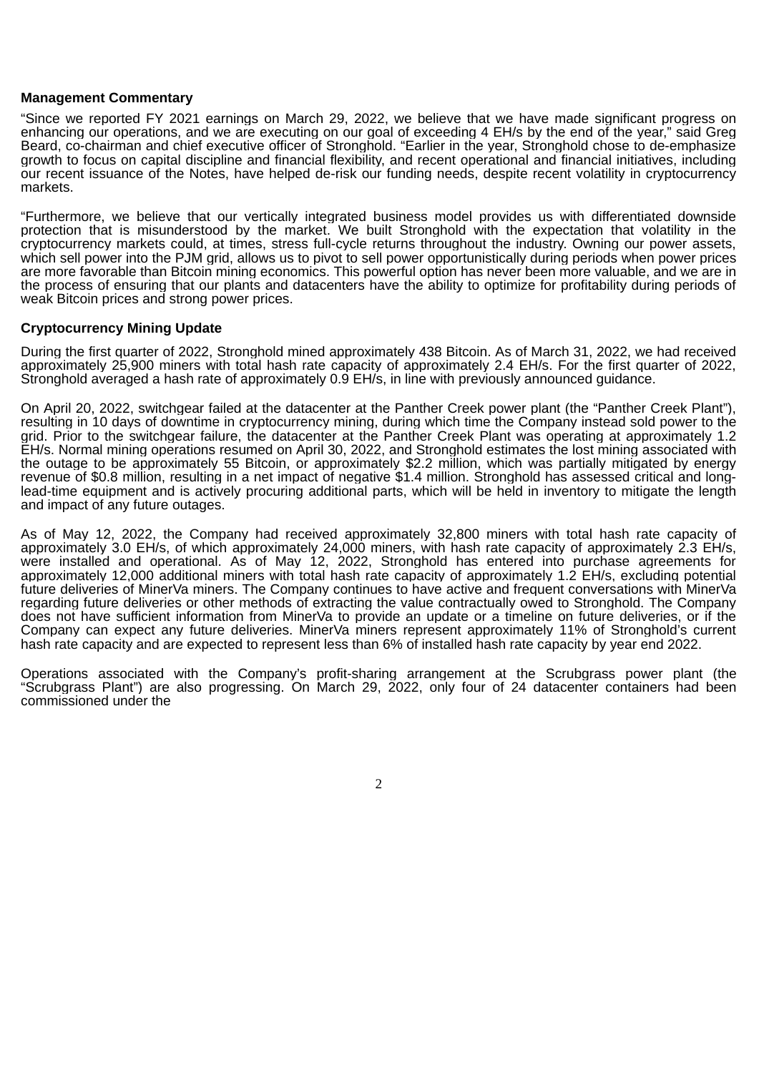#### **Management Commentary**

"Since we reported FY 2021 earnings on March 29, 2022, we believe that we have made significant progress on enhancing our operations, and we are executing on our goal of exceeding 4 EH/s by the end of the year," said Greg Beard, co-chairman and chief executive officer of Stronghold. "Earlier in the year, Stronghold chose to de-emphasize growth to focus on capital discipline and financial flexibility, and recent operational and financial initiatives, including our recent issuance of the Notes, have helped de-risk our funding needs, despite recent volatility in cryptocurrency markets.

"Furthermore, we believe that our vertically integrated business model provides us with differentiated downside protection that is misunderstood by the market. We built Stronghold with the expectation that volatility in the cryptocurrency markets could, at times, stress full-cycle returns throughout the industry. Owning our power assets, which sell power into the PJM grid, allows us to pivot to sell power opportunistically during periods when power prices are more favorable than Bitcoin mining economics. This powerful option has never been more valuable, and we are in the process of ensuring that our plants and datacenters have the ability to optimize for profitability during periods of weak Bitcoin prices and strong power prices.

#### **Cryptocurrency Mining Update**

During the first quarter of 2022, Stronghold mined approximately 438 Bitcoin. As of March 31, 2022, we had received approximately 25,900 miners with total hash rate capacity of approximately 2.4 EH/s. For the first quarter of 2022, Stronghold averaged a hash rate of approximately 0.9 EH/s, in line with previously announced guidance.

On April 20, 2022, switchgear failed at the datacenter at the Panther Creek power plant (the "Panther Creek Plant"), resulting in 10 days of downtime in cryptocurrency mining, during which time the Company instead sold power to the grid. Prior to the switchgear failure, the datacenter at the Panther Creek Plant was operating at approximately 1.2 EH/s. Normal mining operations resumed on April 30, 2022, and Stronghold estimates the lost mining associated with the outage to be approximately 55 Bitcoin, or approximately \$2.2 million, which was partially mitigated by energy revenue of \$0.8 million, resulting in a net impact of negative \$1.4 million. Stronghold has assessed critical and longlead-time equipment and is actively procuring additional parts, which will be held in inventory to mitigate the length and impact of any future outages.

As of May 12, 2022, the Company had received approximately 32,800 miners with total hash rate capacity of approximately 3.0 EH/s, of which approximately 24,000 miners, with hash rate capacity of approximately 2.3 EH/s, were installed and operational. As of May 12, 2022, Stronghold has entered into purchase agreements for approximately 12,000 additional miners with total hash rate capacity of approximately 1.2 EH/s, excluding potential future deliveries of MinerVa miners. The Company continues to have active and frequent conversations with MinerVa regarding future deliveries or other methods of extracting the value contractually owed to Stronghold. The Company does not have sufficient information from MinerVa to provide an update or a timeline on future deliveries, or if the Company can expect any future deliveries. MinerVa miners represent approximately 11% of Stronghold's current hash rate capacity and are expected to represent less than 6% of installed hash rate capacity by year end 2022.

Operations associated with the Company's profit-sharing arrangement at the Scrubgrass power plant (the "Scrubgrass Plant") are also progressing. On March 29, 2022, only four of 24 datacenter containers had been commissioned under the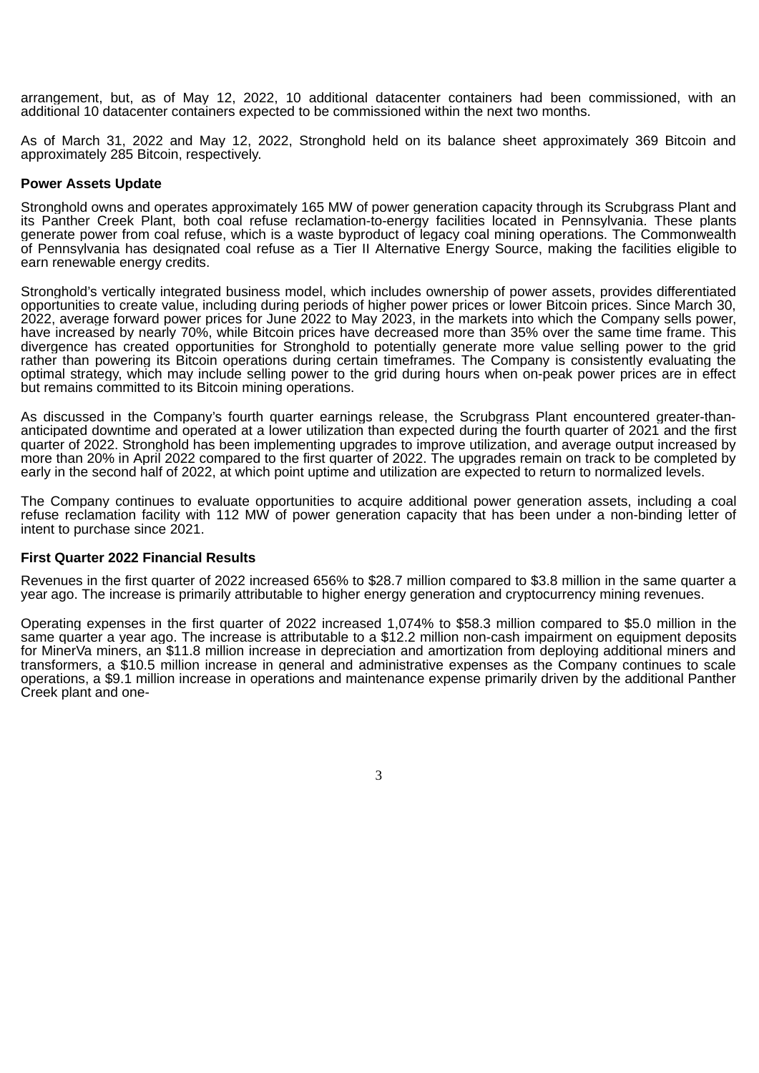arrangement, but, as of May 12, 2022, 10 additional datacenter containers had been commissioned, with an additional 10 datacenter containers expected to be commissioned within the next two months.

As of March 31, 2022 and May 12, 2022, Stronghold held on its balance sheet approximately 369 Bitcoin and approximately 285 Bitcoin, respectively.

#### **Power Assets Update**

Stronghold owns and operates approximately 165 MW of power generation capacity through its Scrubgrass Plant and its Panther Creek Plant, both coal refuse reclamation-to-energy facilities located in Pennsylvania. These plants generate power from coal refuse, which is a waste byproduct of legacy coal mining operations. The Commonwealth of Pennsylvania has designated coal refuse as a Tier II Alternative Energy Source, making the facilities eligible to earn renewable energy credits.

Stronghold's vertically integrated business model, which includes ownership of power assets, provides differentiated opportunities to create value, including during periods of higher power prices or lower Bitcoin prices. Since March 30, 2022, average forward power prices for June 2022 to May 2023, in the markets into which the Company sells power, have increased by nearly 70%, while Bitcoin prices have decreased more than 35% over the same time frame. This divergence has created opportunities for Stronghold to potentially generate more value selling power to the grid rather than powering its Bitcoin operations during certain timeframes. The Company is consistently evaluating the optimal strategy, which may include selling power to the grid during hours when on-peak power prices are in effect but remains committed to its Bitcoin mining operations.

As discussed in the Company's fourth quarter earnings release, the Scrubgrass Plant encountered greater-thananticipated downtime and operated at a lower utilization than expected during the fourth quarter of 2021 and the first quarter of 2022. Stronghold has been implementing upgrades to improve utilization, and average output increased by more than 20% in April 2022 compared to the first quarter of 2022. The upgrades remain on track to be completed by early in the second half of 2022, at which point uptime and utilization are expected to return to normalized levels.

The Company continues to evaluate opportunities to acquire additional power generation assets, including a coal refuse reclamation facility with 112 MW of power generation capacity that has been under a non-binding letter of intent to purchase since 2021.

#### **First Quarter 2022 Financial Results**

Revenues in the first quarter of 2022 increased 656% to \$28.7 million compared to \$3.8 million in the same quarter a year ago. The increase is primarily attributable to higher energy generation and cryptocurrency mining revenues.

Operating expenses in the first quarter of 2022 increased 1,074% to \$58.3 million compared to \$5.0 million in the same quarter a year ago. The increase is attributable to a \$12.2 million non-cash impairment on equipment deposits for MinerVa miners, an \$11.8 million increase in depreciation and amortization from deploying additional miners and transformers, a \$10.5 million increase in general and administrative expenses as the Company continues to scale operations, a \$9.1 million increase in operations and maintenance expense primarily driven by the additional Panther Creek plant and one-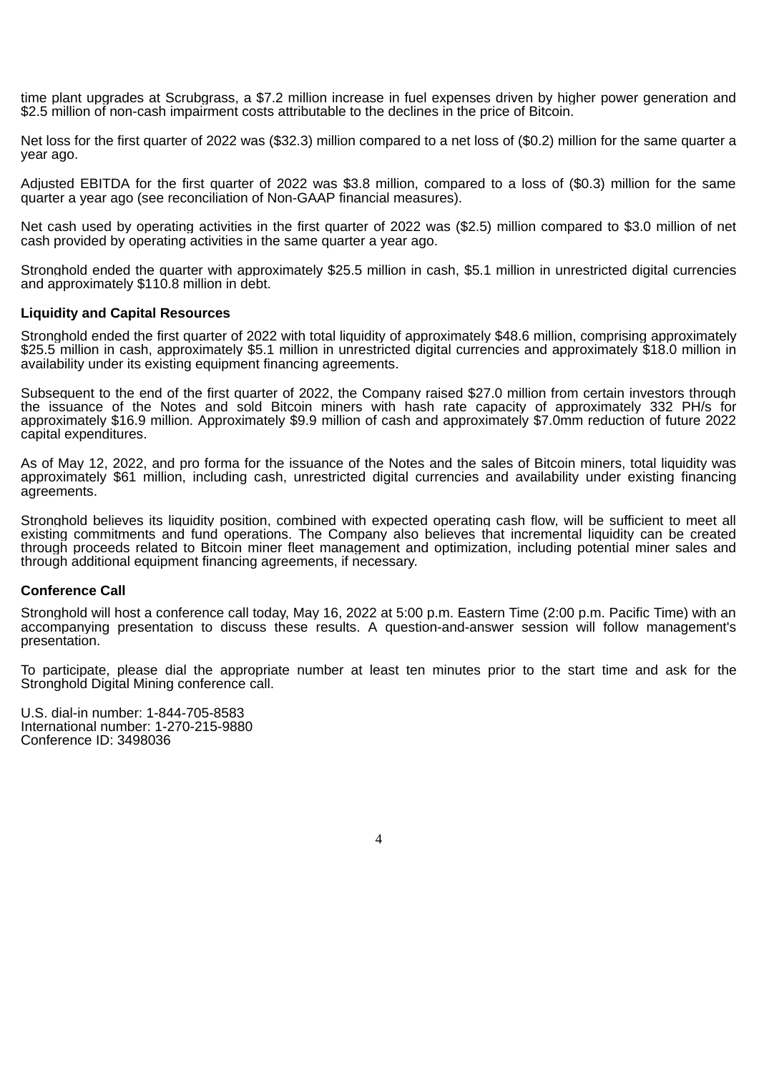time plant upgrades at Scrubgrass, a \$7.2 million increase in fuel expenses driven by higher power generation and \$2.5 million of non-cash impairment costs attributable to the declines in the price of Bitcoin.

Net loss for the first quarter of 2022 was (\$32.3) million compared to a net loss of (\$0.2) million for the same quarter a year ago.

Adjusted EBITDA for the first quarter of 2022 was \$3.8 million, compared to a loss of (\$0.3) million for the same quarter a year ago (see reconciliation of Non-GAAP financial measures).

Net cash used by operating activities in the first quarter of 2022 was (\$2.5) million compared to \$3.0 million of net cash provided by operating activities in the same quarter a year ago.

Stronghold ended the quarter with approximately \$25.5 million in cash, \$5.1 million in unrestricted digital currencies and approximately \$110.8 million in debt.

#### **Liquidity and Capital Resources**

Stronghold ended the first quarter of 2022 with total liquidity of approximately \$48.6 million, comprising approximately \$25.5 million in cash, approximately \$5.1 million in unrestricted digital currencies and approximately \$18.0 million in availability under its existing equipment financing agreements.

Subsequent to the end of the first quarter of 2022, the Company raised \$27.0 million from certain investors through the issuance of the Notes and sold Bitcoin miners with hash rate capacity of approximately 332 PH/s for approximately \$16.9 million. Approximately \$9.9 million of cash and approximately \$7.0mm reduction of future 2022 capital expenditures.

As of May 12, 2022, and pro forma for the issuance of the Notes and the sales of Bitcoin miners, total liquidity was approximately \$61 million, including cash, unrestricted digital currencies and availability under existing financing agreements.

Stronghold believes its liquidity position, combined with expected operating cash flow, will be sufficient to meet all existing commitments and fund operations. The Company also believes that incremental liquidity can be created through proceeds related to Bitcoin miner fleet management and optimization, including potential miner sales and through additional equipment financing agreements, if necessary.

#### **Conference Call**

Stronghold will host a conference call today, May 16, 2022 at 5:00 p.m. Eastern Time (2:00 p.m. Pacific Time) with an accompanying presentation to discuss these results. A question-and-answer session will follow management's presentation.

To participate, please dial the appropriate number at least ten minutes prior to the start time and ask for the Stronghold Digital Mining conference call.

4

U.S. dial-in number: 1-844-705-8583 International number: 1-270-215-9880 Conference ID: 3498036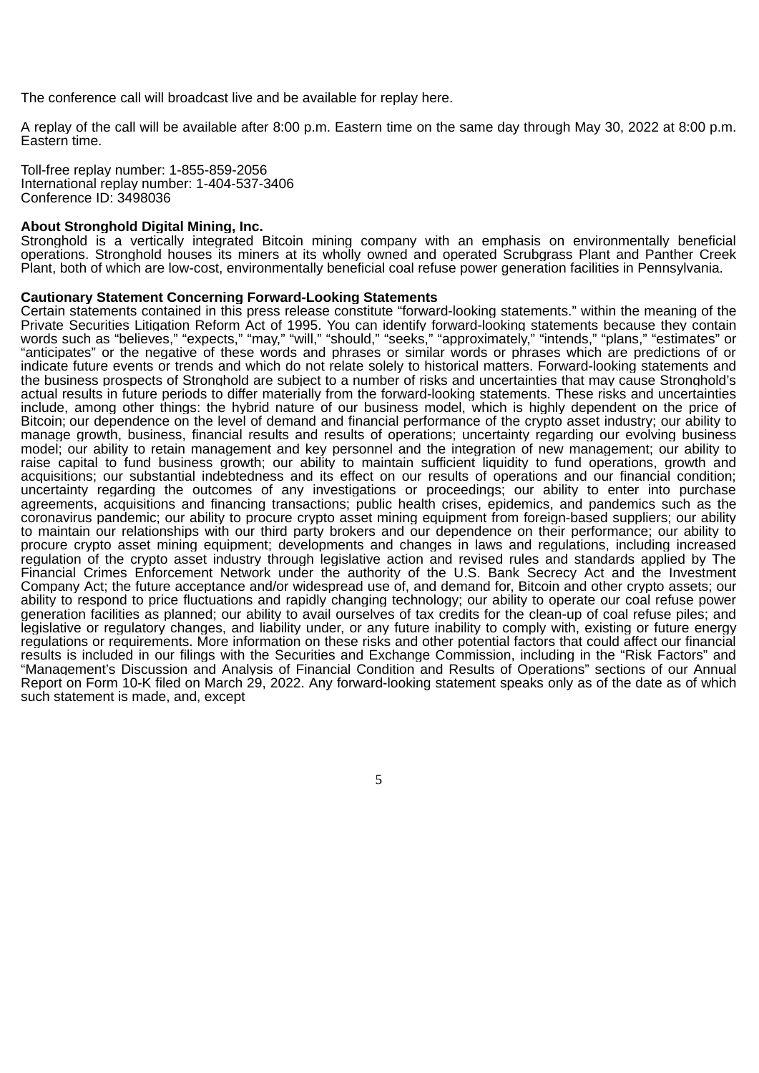The conference call will broadcast live and be available for replay here.

A replay of the call will be available after 8:00 p.m. Eastern time on the same day through May 30, 2022 at 8:00 p.m. Eastern time.

Toll-free replay number: 1-855-859-2056 International replay number: 1-404-537-3406 Conference ID: 3498036

#### **About Stronghold Digital Mining, Inc.**

Stronghold is a vertically integrated Bitcoin mining company with an emphasis on environmentally beneficial operations. Stronghold houses its miners at its wholly owned and operated Scrubgrass Plant and Panther Creek Plant, both of which are low-cost, environmentally beneficial coal refuse power generation facilities in Pennsylvania.

#### **Cautionary Statement Concerning Forward-Looking Statements**

Certain statements contained in this press release constitute "forward-looking statements." within the meaning of the Private Securities Litigation Reform Act of 1995. You can identify forward-looking statements because they contain words such as "believes," "expects," "may," "will," "should," "seeks," "approximately," "intends," "plans," "estimates" or "anticipates" or the negative of these words and phrases or similar words or phrases which are predictions of or indicate future events or trends and which do not relate solely to historical matters. Forward-looking statements and the business prospects of Stronghold are subject to a number of risks and uncertainties that may cause Stronghold's actual results in future periods to differ materially from the forward-looking statements. These risks and uncertainties include, among other things: the hybrid nature of our business model, which is highly dependent on the price of Bitcoin; our dependence on the level of demand and financial performance of the crypto asset industry; our ability to manage growth, business, financial results and results of operations; uncertainty regarding our evolving business model; our ability to retain management and key personnel and the integration of new management; our ability to raise capital to fund business growth; our ability to maintain sufficient liquidity to fund operations, growth and acquisitions; our substantial indebtedness and its effect on our results of operations and our financial condition; uncertainty regarding the outcomes of any investigations or proceedings; our ability to enter into purchase agreements, acquisitions and financing transactions; public health crises, epidemics, and pandemics such as the coronavirus pandemic; our ability to procure crypto asset mining equipment from foreign-based suppliers; our ability to maintain our relationships with our third party brokers and our dependence on their performance; our ability to procure crypto asset mining equipment; developments and changes in laws and regulations, including increased regulation of the crypto asset industry through legislative action and revised rules and standards applied by The Financial Crimes Enforcement Network under the authority of the U.S. Bank Secrecy Act and the Investment Company Act; the future acceptance and/or widespread use of, and demand for, Bitcoin and other crypto assets; our ability to respond to price fluctuations and rapidly changing technology; our ability to operate our coal refuse power generation facilities as planned; our ability to avail ourselves of tax credits for the clean-up of coal refuse piles; and legislative or regulatory changes, and liability under, or any future inability to comply with, existing or future energy regulations or requirements. More information on these risks and other potential factors that could affect our financial results is included in our filings with the Securities and Exchange Commission, including in the "Risk Factors" and "Management's Discussion and Analysis of Financial Condition and Results of Operations" sections of our Annual Report on Form 10-K filed on March 29, 2022. Any forward-looking statement speaks only as of the date as of which such statement is made, and, except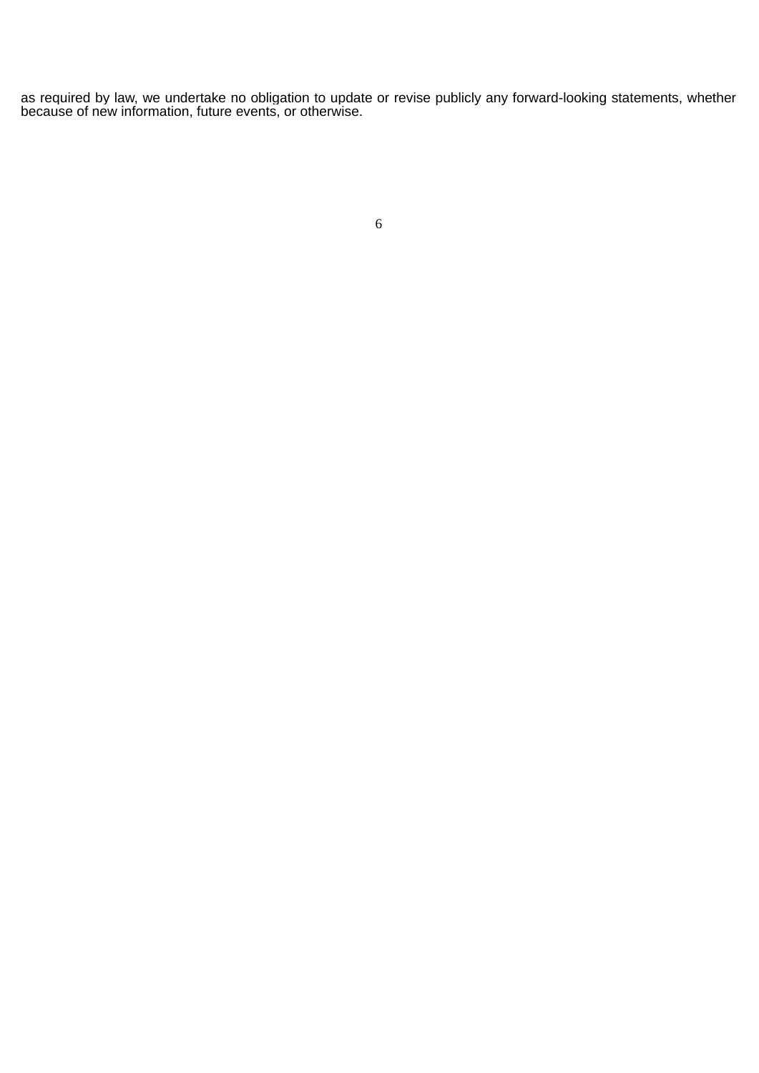as required by law, we undertake no obligation to update or revise publicly any forward-looking statements, whether because of new information, future events, or otherwise.

|         | .,<br>٠ |             |
|---------|---------|-------------|
|         | ٠       |             |
| ×<br>M. |         | I<br>I<br>٩ |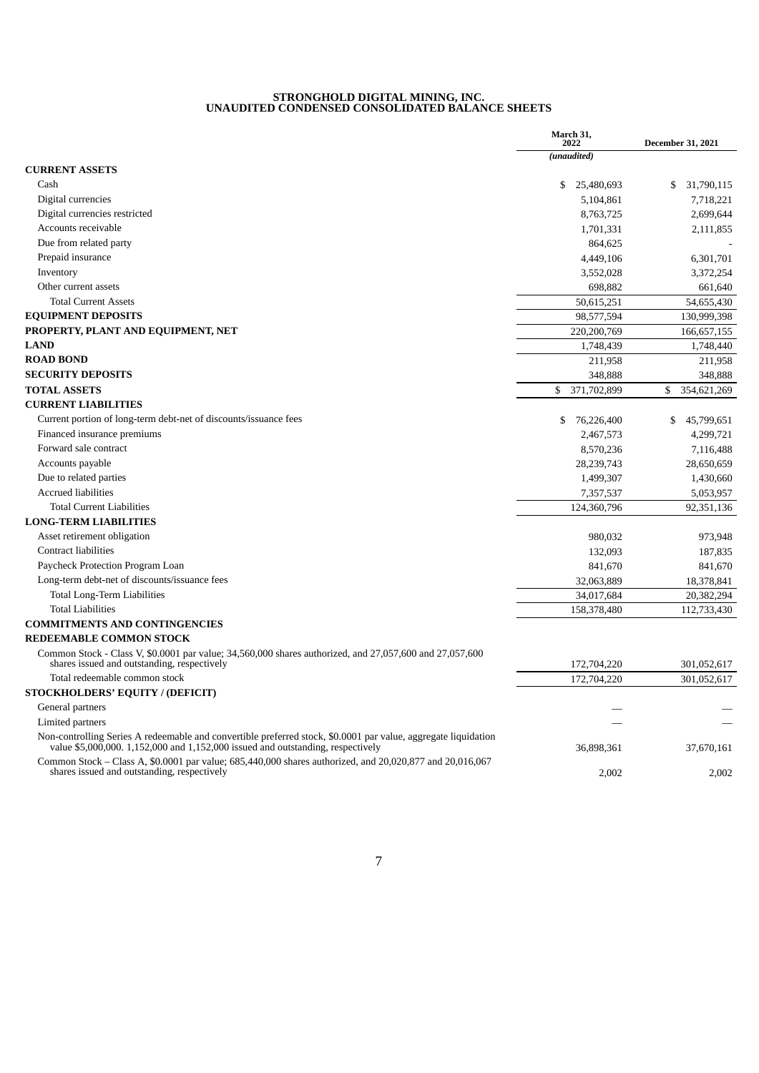#### **STRONGHOLD DIGITAL MINING, INC. UNAUDITED CONDENSED CONSOLIDATED BALANCE SHEETS**

|                                                                                                                                                         | March 31,<br>2022 | <b>December 31, 2021</b> |
|---------------------------------------------------------------------------------------------------------------------------------------------------------|-------------------|--------------------------|
|                                                                                                                                                         | (unaudited)       |                          |
| <b>CURRENT ASSETS</b>                                                                                                                                   |                   |                          |
| Cash                                                                                                                                                    | \$<br>25,480,693  | 31,790,115<br>\$         |
| Digital currencies                                                                                                                                      | 5,104,861         | 7,718,221                |
| Digital currencies restricted                                                                                                                           | 8,763,725         | 2,699,644                |
| Accounts receivable                                                                                                                                     | 1,701,331         | 2,111,855                |
| Due from related party                                                                                                                                  | 864,625           |                          |
| Prepaid insurance                                                                                                                                       | 4,449,106         | 6,301,701                |
| Inventory                                                                                                                                               | 3,552,028         | 3,372,254                |
| Other current assets                                                                                                                                    | 698,882           | 661.640                  |
| <b>Total Current Assets</b>                                                                                                                             | 50,615,251        | 54,655,430               |
| <b>EQUIPMENT DEPOSITS</b>                                                                                                                               | 98,577,594        | 130,999,398              |
| PROPERTY, PLANT AND EQUIPMENT, NET                                                                                                                      | 220,200,769       | 166,657,155              |
| <b>LAND</b>                                                                                                                                             | 1,748,439         | 1,748,440                |
| <b>ROAD BOND</b>                                                                                                                                        | 211,958           | 211,958                  |
| <b>SECURITY DEPOSITS</b>                                                                                                                                | 348,888           | 348,888                  |
| <b>TOTAL ASSETS</b>                                                                                                                                     | 371,702,899<br>\$ | 354,621,269<br>\$        |
| <b>CURRENT LIABILITIES</b>                                                                                                                              |                   |                          |
| Current portion of long-term debt-net of discounts/issuance fees                                                                                        | \$<br>76,226,400  | 45,799,651<br>\$         |
| Financed insurance premiums                                                                                                                             | 2,467,573         | 4,299,721                |
| Forward sale contract                                                                                                                                   | 8,570,236         | 7,116,488                |
| Accounts payable                                                                                                                                        | 28,239,743        | 28,650,659               |
| Due to related parties                                                                                                                                  | 1,499,307         | 1,430,660                |
| <b>Accrued liabilities</b>                                                                                                                              | 7,357,537         | 5,053,957                |
| <b>Total Current Liabilities</b>                                                                                                                        | 124,360,796       | 92,351,136               |
| <b>LONG-TERM LIABILITIES</b>                                                                                                                            |                   |                          |
| Asset retirement obligation                                                                                                                             | 980,032           | 973,948                  |
| <b>Contract liabilities</b>                                                                                                                             | 132,093           | 187,835                  |
| Paycheck Protection Program Loan                                                                                                                        | 841,670           | 841,670                  |
| Long-term debt-net of discounts/issuance fees                                                                                                           | 32,063,889        | 18,378,841               |
| Total Long-Term Liabilities                                                                                                                             | 34,017,684        | 20,382,294               |
| <b>Total Liabilities</b>                                                                                                                                | 158,378,480       | 112,733,430              |
| <b>COMMITMENTS AND CONTINGENCIES</b>                                                                                                                    |                   |                          |
| <b>REDEEMABLE COMMON STOCK</b>                                                                                                                          |                   |                          |
| Common Stock - Class V, \$0,0001 par value; 34,560,000 shares authorized, and 27,057,600 and 27,057,600<br>shares issued and outstanding, respectively  | 172,704,220       | 301,052,617              |
| Total redeemable common stock                                                                                                                           | 172,704,220       | 301,052,617              |
| STOCKHOLDERS' EQUITY / (DEFICIT)                                                                                                                        |                   |                          |
| General partners                                                                                                                                        |                   |                          |
| Limited partners                                                                                                                                        |                   |                          |
| Non-controlling Series A redeemable and convertible preferred stock, \$0.0001 par value, aggregate liquidation                                          |                   |                          |
| value $$5,000,000$ . $1,152,000$ and $1,152,000$ issued and outstanding, respectively                                                                   | 36,898,361        | 37,670,161               |
| Common Stock – Class A, \$0.0001 par value; 685,440,000 shares authorized, and 20,020,877 and 20,016,067<br>shares issued and outstanding, respectively | 2,002             | 2,002                    |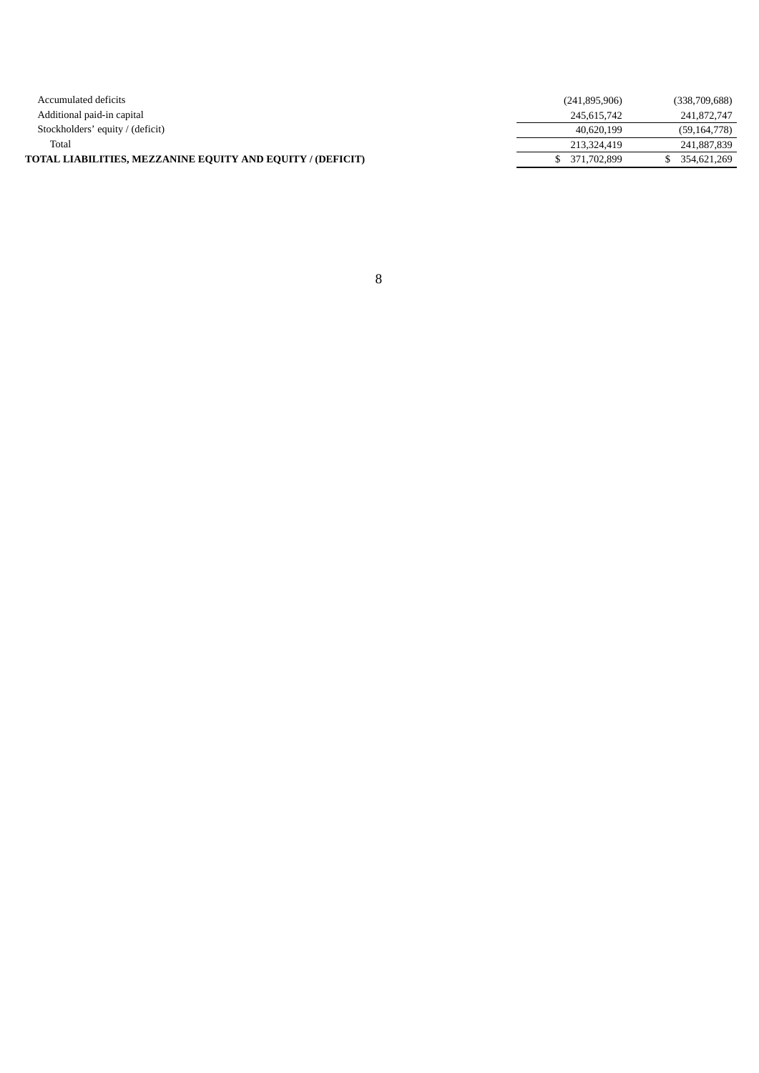| Accumulated deficits                                       | (241, 895, 906) | (338,709,688)  |
|------------------------------------------------------------|-----------------|----------------|
| Additional paid-in capital                                 | 245.615.742     | 241,872,747    |
| Stockholders' equity / (deficit)                           | 40.620.199      | (59, 164, 778) |
| Total                                                      | 213,324,419     | 241,887,839    |
| TOTAL LIABILITIES, MEZZANINE EQUITY AND EQUITY / (DEFICIT) | \$ 371,702,899  | 354,621,269    |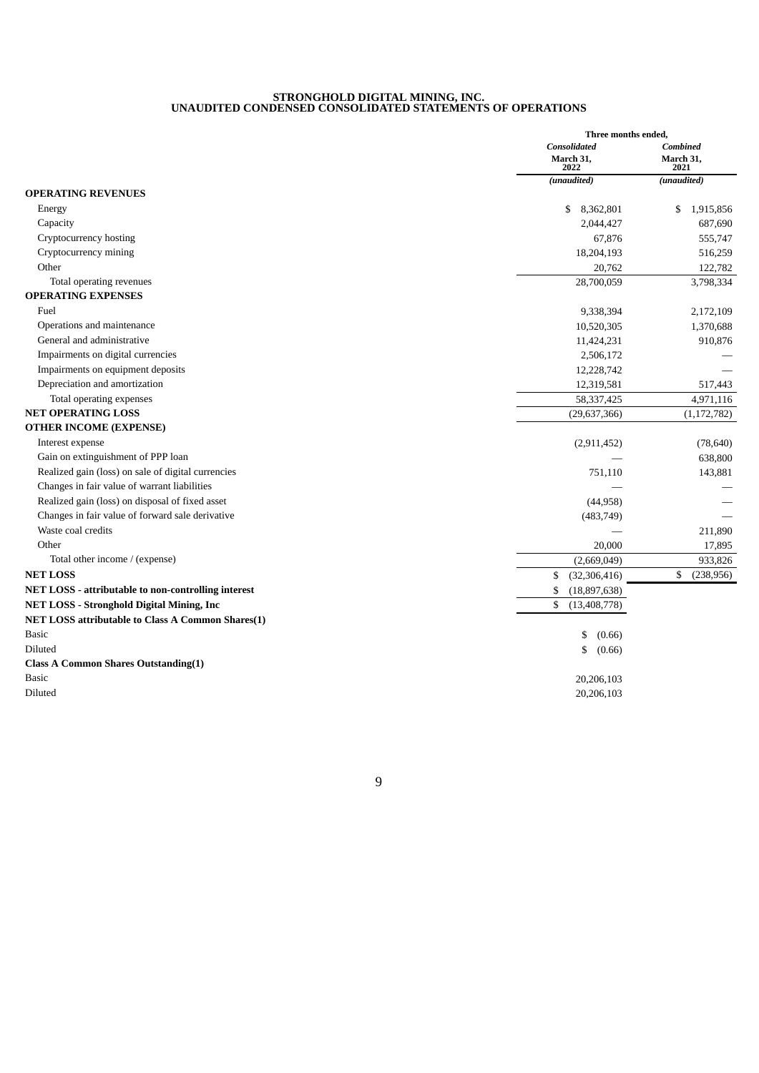#### **STRONGHOLD DIGITAL MINING, INC. UNAUDITED CONDENSED CONSOLIDATED STATEMENTS OF OPERATIONS**

| <b>Consolidated</b><br><b>Combined</b><br>March 31.<br>March 31,<br>2022<br>2021<br>(unaudited)<br>(unaudited)<br>\$<br>8,362,801<br>\$<br>1,915,856<br>Energy<br>Capacity<br>687,690<br>2,044,427<br>Cryptocurrency hosting<br>555,747<br>67,876<br>Cryptocurrency mining<br>18,204,193<br>516,259<br>Other<br>20,762<br>122,782<br>Total operating revenues<br>28,700,059<br>3,798,334<br>Fuel<br>9,338,394<br>2,172,109<br>Operations and maintenance<br>1,370,688<br>10,520,305<br>General and administrative<br>11,424,231<br>910,876<br>Impairments on digital currencies<br>2,506,172<br>Impairments on equipment deposits<br>12,228,742<br>Depreciation and amortization<br>12,319,581<br>517,443<br>58,337,425<br>Total operating expenses<br>4,971,116<br>(29, 637, 366)<br>(1, 172, 782)<br>Interest expense<br>(78, 640)<br>(2,911,452)<br>Gain on extinguishment of PPP loan<br>638,800<br>Realized gain (loss) on sale of digital currencies<br>751,110<br>143,881<br>Changes in fair value of warrant liabilities<br>Realized gain (loss) on disposal of fixed asset<br>(44,958)<br>Changes in fair value of forward sale derivative<br>(483, 749)<br>Waste coal credits<br>211,890<br>Other<br>20,000<br>17,895<br>Total other income / (expense)<br>(2,669,049)<br>933,826<br>\$<br>(238, 956)<br>\$<br>(32, 306, 416)<br>\$<br>(18,897,638)<br>\$<br>(13, 408, 778)<br>\$<br>(0.66)<br>\$<br>(0.66)<br>20,206,103<br>20,206,103 |                                                     | Three months ended, |  |
|---------------------------------------------------------------------------------------------------------------------------------------------------------------------------------------------------------------------------------------------------------------------------------------------------------------------------------------------------------------------------------------------------------------------------------------------------------------------------------------------------------------------------------------------------------------------------------------------------------------------------------------------------------------------------------------------------------------------------------------------------------------------------------------------------------------------------------------------------------------------------------------------------------------------------------------------------------------------------------------------------------------------------------------------------------------------------------------------------------------------------------------------------------------------------------------------------------------------------------------------------------------------------------------------------------------------------------------------------------------------------------------------------------------------------------------------------|-----------------------------------------------------|---------------------|--|
|                                                                                                                                                                                                                                                                                                                                                                                                                                                                                                                                                                                                                                                                                                                                                                                                                                                                                                                                                                                                                                                                                                                                                                                                                                                                                                                                                                                                                                                   |                                                     |                     |  |
|                                                                                                                                                                                                                                                                                                                                                                                                                                                                                                                                                                                                                                                                                                                                                                                                                                                                                                                                                                                                                                                                                                                                                                                                                                                                                                                                                                                                                                                   |                                                     |                     |  |
|                                                                                                                                                                                                                                                                                                                                                                                                                                                                                                                                                                                                                                                                                                                                                                                                                                                                                                                                                                                                                                                                                                                                                                                                                                                                                                                                                                                                                                                   |                                                     |                     |  |
|                                                                                                                                                                                                                                                                                                                                                                                                                                                                                                                                                                                                                                                                                                                                                                                                                                                                                                                                                                                                                                                                                                                                                                                                                                                                                                                                                                                                                                                   | <b>OPERATING REVENUES</b>                           |                     |  |
|                                                                                                                                                                                                                                                                                                                                                                                                                                                                                                                                                                                                                                                                                                                                                                                                                                                                                                                                                                                                                                                                                                                                                                                                                                                                                                                                                                                                                                                   |                                                     |                     |  |
|                                                                                                                                                                                                                                                                                                                                                                                                                                                                                                                                                                                                                                                                                                                                                                                                                                                                                                                                                                                                                                                                                                                                                                                                                                                                                                                                                                                                                                                   |                                                     |                     |  |
|                                                                                                                                                                                                                                                                                                                                                                                                                                                                                                                                                                                                                                                                                                                                                                                                                                                                                                                                                                                                                                                                                                                                                                                                                                                                                                                                                                                                                                                   |                                                     |                     |  |
|                                                                                                                                                                                                                                                                                                                                                                                                                                                                                                                                                                                                                                                                                                                                                                                                                                                                                                                                                                                                                                                                                                                                                                                                                                                                                                                                                                                                                                                   |                                                     |                     |  |
|                                                                                                                                                                                                                                                                                                                                                                                                                                                                                                                                                                                                                                                                                                                                                                                                                                                                                                                                                                                                                                                                                                                                                                                                                                                                                                                                                                                                                                                   |                                                     |                     |  |
|                                                                                                                                                                                                                                                                                                                                                                                                                                                                                                                                                                                                                                                                                                                                                                                                                                                                                                                                                                                                                                                                                                                                                                                                                                                                                                                                                                                                                                                   |                                                     |                     |  |
|                                                                                                                                                                                                                                                                                                                                                                                                                                                                                                                                                                                                                                                                                                                                                                                                                                                                                                                                                                                                                                                                                                                                                                                                                                                                                                                                                                                                                                                   | <b>OPERATING EXPENSES</b>                           |                     |  |
|                                                                                                                                                                                                                                                                                                                                                                                                                                                                                                                                                                                                                                                                                                                                                                                                                                                                                                                                                                                                                                                                                                                                                                                                                                                                                                                                                                                                                                                   |                                                     |                     |  |
|                                                                                                                                                                                                                                                                                                                                                                                                                                                                                                                                                                                                                                                                                                                                                                                                                                                                                                                                                                                                                                                                                                                                                                                                                                                                                                                                                                                                                                                   |                                                     |                     |  |
|                                                                                                                                                                                                                                                                                                                                                                                                                                                                                                                                                                                                                                                                                                                                                                                                                                                                                                                                                                                                                                                                                                                                                                                                                                                                                                                                                                                                                                                   |                                                     |                     |  |
|                                                                                                                                                                                                                                                                                                                                                                                                                                                                                                                                                                                                                                                                                                                                                                                                                                                                                                                                                                                                                                                                                                                                                                                                                                                                                                                                                                                                                                                   |                                                     |                     |  |
|                                                                                                                                                                                                                                                                                                                                                                                                                                                                                                                                                                                                                                                                                                                                                                                                                                                                                                                                                                                                                                                                                                                                                                                                                                                                                                                                                                                                                                                   |                                                     |                     |  |
|                                                                                                                                                                                                                                                                                                                                                                                                                                                                                                                                                                                                                                                                                                                                                                                                                                                                                                                                                                                                                                                                                                                                                                                                                                                                                                                                                                                                                                                   |                                                     |                     |  |
|                                                                                                                                                                                                                                                                                                                                                                                                                                                                                                                                                                                                                                                                                                                                                                                                                                                                                                                                                                                                                                                                                                                                                                                                                                                                                                                                                                                                                                                   |                                                     |                     |  |
|                                                                                                                                                                                                                                                                                                                                                                                                                                                                                                                                                                                                                                                                                                                                                                                                                                                                                                                                                                                                                                                                                                                                                                                                                                                                                                                                                                                                                                                   | <b>NET OPERATING LOSS</b>                           |                     |  |
|                                                                                                                                                                                                                                                                                                                                                                                                                                                                                                                                                                                                                                                                                                                                                                                                                                                                                                                                                                                                                                                                                                                                                                                                                                                                                                                                                                                                                                                   | <b>OTHER INCOME (EXPENSE)</b>                       |                     |  |
|                                                                                                                                                                                                                                                                                                                                                                                                                                                                                                                                                                                                                                                                                                                                                                                                                                                                                                                                                                                                                                                                                                                                                                                                                                                                                                                                                                                                                                                   |                                                     |                     |  |
|                                                                                                                                                                                                                                                                                                                                                                                                                                                                                                                                                                                                                                                                                                                                                                                                                                                                                                                                                                                                                                                                                                                                                                                                                                                                                                                                                                                                                                                   |                                                     |                     |  |
|                                                                                                                                                                                                                                                                                                                                                                                                                                                                                                                                                                                                                                                                                                                                                                                                                                                                                                                                                                                                                                                                                                                                                                                                                                                                                                                                                                                                                                                   |                                                     |                     |  |
|                                                                                                                                                                                                                                                                                                                                                                                                                                                                                                                                                                                                                                                                                                                                                                                                                                                                                                                                                                                                                                                                                                                                                                                                                                                                                                                                                                                                                                                   |                                                     |                     |  |
|                                                                                                                                                                                                                                                                                                                                                                                                                                                                                                                                                                                                                                                                                                                                                                                                                                                                                                                                                                                                                                                                                                                                                                                                                                                                                                                                                                                                                                                   |                                                     |                     |  |
|                                                                                                                                                                                                                                                                                                                                                                                                                                                                                                                                                                                                                                                                                                                                                                                                                                                                                                                                                                                                                                                                                                                                                                                                                                                                                                                                                                                                                                                   |                                                     |                     |  |
|                                                                                                                                                                                                                                                                                                                                                                                                                                                                                                                                                                                                                                                                                                                                                                                                                                                                                                                                                                                                                                                                                                                                                                                                                                                                                                                                                                                                                                                   |                                                     |                     |  |
|                                                                                                                                                                                                                                                                                                                                                                                                                                                                                                                                                                                                                                                                                                                                                                                                                                                                                                                                                                                                                                                                                                                                                                                                                                                                                                                                                                                                                                                   |                                                     |                     |  |
|                                                                                                                                                                                                                                                                                                                                                                                                                                                                                                                                                                                                                                                                                                                                                                                                                                                                                                                                                                                                                                                                                                                                                                                                                                                                                                                                                                                                                                                   |                                                     |                     |  |
|                                                                                                                                                                                                                                                                                                                                                                                                                                                                                                                                                                                                                                                                                                                                                                                                                                                                                                                                                                                                                                                                                                                                                                                                                                                                                                                                                                                                                                                   | <b>NET LOSS</b>                                     |                     |  |
|                                                                                                                                                                                                                                                                                                                                                                                                                                                                                                                                                                                                                                                                                                                                                                                                                                                                                                                                                                                                                                                                                                                                                                                                                                                                                                                                                                                                                                                   | NET LOSS - attributable to non-controlling interest |                     |  |
|                                                                                                                                                                                                                                                                                                                                                                                                                                                                                                                                                                                                                                                                                                                                                                                                                                                                                                                                                                                                                                                                                                                                                                                                                                                                                                                                                                                                                                                   | <b>NET LOSS - Stronghold Digital Mining, Inc</b>    |                     |  |
|                                                                                                                                                                                                                                                                                                                                                                                                                                                                                                                                                                                                                                                                                                                                                                                                                                                                                                                                                                                                                                                                                                                                                                                                                                                                                                                                                                                                                                                   | NET LOSS attributable to Class A Common Shares(1)   |                     |  |
|                                                                                                                                                                                                                                                                                                                                                                                                                                                                                                                                                                                                                                                                                                                                                                                                                                                                                                                                                                                                                                                                                                                                                                                                                                                                                                                                                                                                                                                   | <b>Basic</b>                                        |                     |  |
|                                                                                                                                                                                                                                                                                                                                                                                                                                                                                                                                                                                                                                                                                                                                                                                                                                                                                                                                                                                                                                                                                                                                                                                                                                                                                                                                                                                                                                                   | Diluted                                             |                     |  |
|                                                                                                                                                                                                                                                                                                                                                                                                                                                                                                                                                                                                                                                                                                                                                                                                                                                                                                                                                                                                                                                                                                                                                                                                                                                                                                                                                                                                                                                   | <b>Class A Common Shares Outstanding(1)</b>         |                     |  |
|                                                                                                                                                                                                                                                                                                                                                                                                                                                                                                                                                                                                                                                                                                                                                                                                                                                                                                                                                                                                                                                                                                                                                                                                                                                                                                                                                                                                                                                   | Basic                                               |                     |  |
|                                                                                                                                                                                                                                                                                                                                                                                                                                                                                                                                                                                                                                                                                                                                                                                                                                                                                                                                                                                                                                                                                                                                                                                                                                                                                                                                                                                                                                                   | Diluted                                             |                     |  |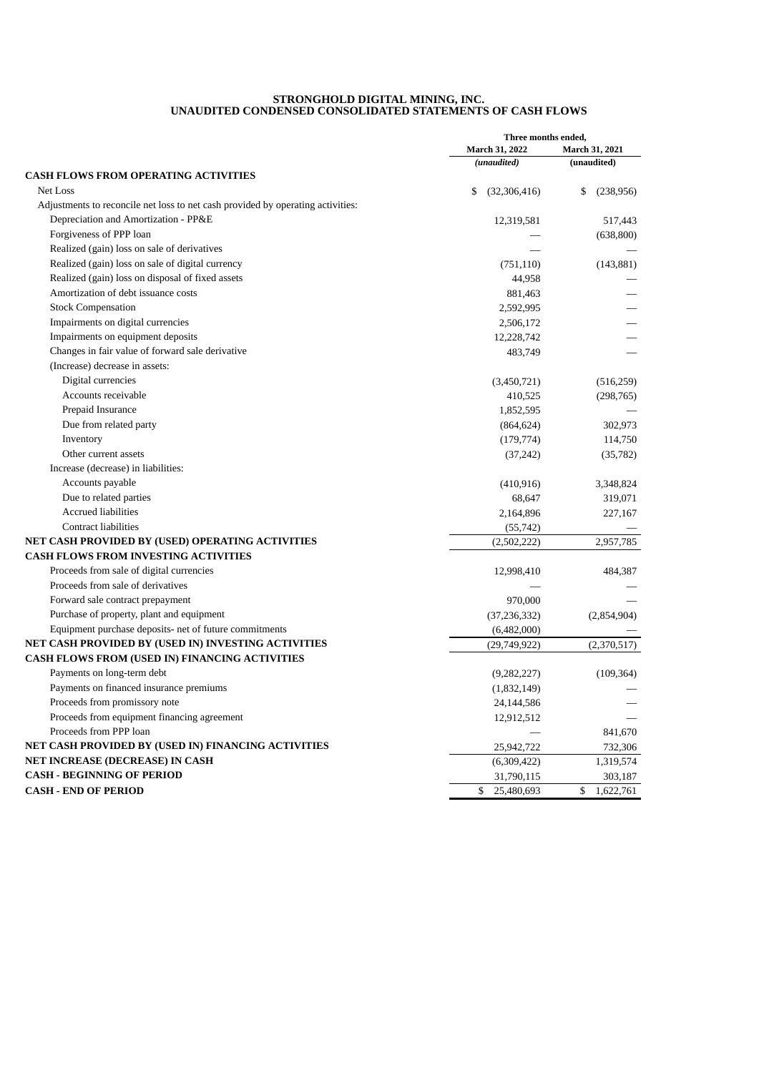#### **STRONGHOLD DIGITAL MINING, INC. UNAUDITED CONDENSED CONSOLIDATED STATEMENTS OF CASH FLOWS**

|                                                                                 | Three months ended,           |                               |
|---------------------------------------------------------------------------------|-------------------------------|-------------------------------|
|                                                                                 | March 31, 2022<br>(unaudited) | March 31, 2021<br>(unaudited) |
| <b>CASH FLOWS FROM OPERATING ACTIVITIES</b>                                     |                               |                               |
| Net Loss                                                                        | \$<br>(32,306,416)            | \$<br>(238,956)               |
| Adjustments to reconcile net loss to net cash provided by operating activities: |                               |                               |
| Depreciation and Amortization - PP&E                                            | 12,319,581                    | 517,443                       |
| Forgiveness of PPP loan                                                         |                               | (638, 800)                    |
| Realized (gain) loss on sale of derivatives                                     |                               |                               |
| Realized (gain) loss on sale of digital currency                                | (751, 110)                    | (143, 881)                    |
| Realized (gain) loss on disposal of fixed assets                                | 44,958                        |                               |
| Amortization of debt issuance costs                                             | 881,463                       |                               |
| <b>Stock Compensation</b>                                                       | 2,592,995                     |                               |
| Impairments on digital currencies                                               | 2,506,172                     |                               |
| Impairments on equipment deposits                                               |                               |                               |
| Changes in fair value of forward sale derivative                                | 12,228,742                    |                               |
|                                                                                 | 483,749                       |                               |
| (Increase) decrease in assets:<br>Digital currencies                            |                               |                               |
| Accounts receivable                                                             | (3,450,721)                   | (516, 259)                    |
|                                                                                 | 410,525                       | (298, 765)                    |
| Prepaid Insurance                                                               | 1,852,595                     |                               |
| Due from related party                                                          | (864, 624)                    | 302,973                       |
| Inventory                                                                       | (179, 774)                    | 114,750                       |
| Other current assets                                                            | (37, 242)                     | (35, 782)                     |
| Increase (decrease) in liabilities:                                             |                               |                               |
| Accounts payable                                                                | (410, 916)                    | 3,348,824                     |
| Due to related parties                                                          | 68,647                        | 319,071                       |
| <b>Accrued liabilities</b>                                                      | 2,164,896                     | 227,167                       |
| <b>Contract liabilities</b>                                                     | (55, 742)                     |                               |
| NET CASH PROVIDED BY (USED) OPERATING ACTIVITIES                                | (2,502,222)                   | 2,957,785                     |
| <b>CASH FLOWS FROM INVESTING ACTIVITIES</b>                                     |                               |                               |
| Proceeds from sale of digital currencies                                        | 12,998,410                    | 484,387                       |
| Proceeds from sale of derivatives                                               |                               |                               |
| Forward sale contract prepayment                                                | 970,000                       |                               |
| Purchase of property, plant and equipment                                       | (37, 236, 332)                | (2,854,904)                   |
| Equipment purchase deposits- net of future commitments                          | (6,482,000)                   |                               |
| NET CASH PROVIDED BY (USED IN) INVESTING ACTIVITIES                             | (29,749,922)                  | (2,370,517)                   |
| <b>CASH FLOWS FROM (USED IN) FINANCING ACTIVITIES</b>                           |                               |                               |
| Payments on long-term debt                                                      | (9, 282, 227)                 | (109, 364)                    |
| Payments on financed insurance premiums                                         | (1,832,149)                   |                               |
| Proceeds from promissory note                                                   | 24,144,586                    |                               |
| Proceeds from equipment financing agreement                                     | 12,912,512                    |                               |
| Proceeds from PPP loan                                                          |                               | 841,670                       |
| NET CASH PROVIDED BY (USED IN) FINANCING ACTIVITIES                             | 25,942,722                    | 732,306                       |
| NET INCREASE (DECREASE) IN CASH                                                 | (6,309,422)                   | 1,319,574                     |
| <b>CASH - BEGINNING OF PERIOD</b>                                               | 31,790,115                    | 303,187                       |
| <b>CASH - END OF PERIOD</b>                                                     | 25,480,693<br>\$              | \$<br>1,622,761               |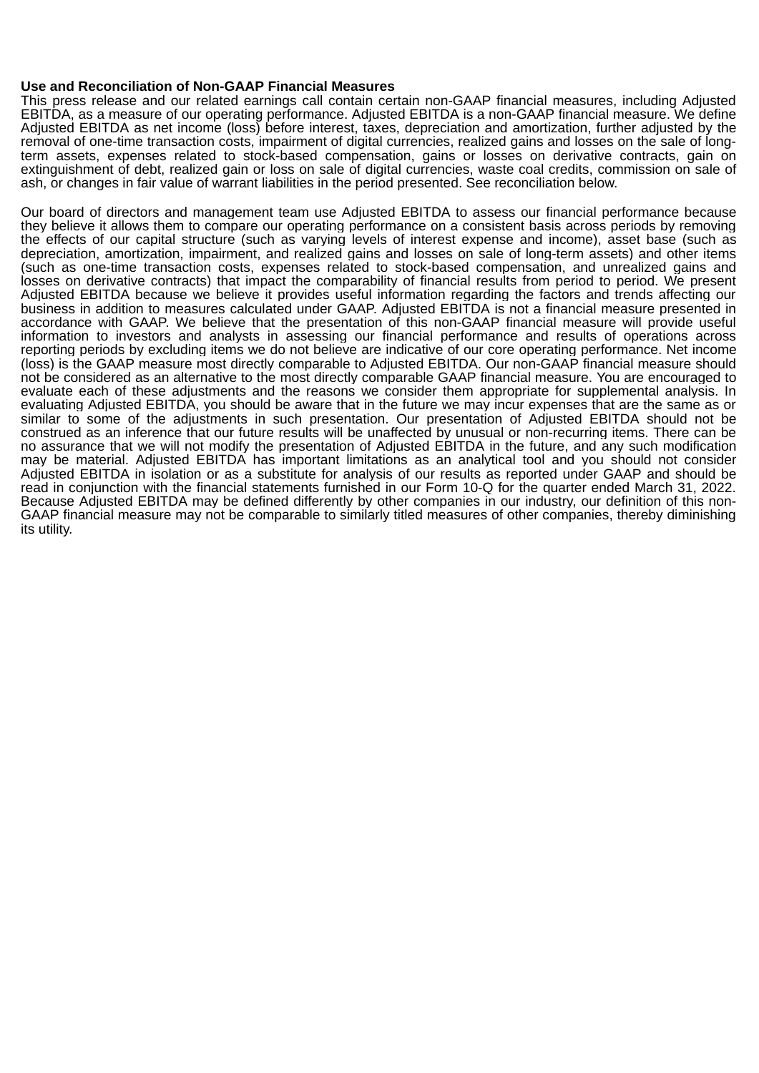#### **Use and Reconciliation of Non-GAAP Financial Measures**

This press release and our related earnings call contain certain non-GAAP financial measures, including Adjusted EBITDA, as a measure of our operating performance. Adjusted EBITDA is a non-GAAP financial measure. We define Adjusted EBITDA as net income (loss) before interest, taxes, depreciation and amortization, further adjusted by the removal of one-time transaction costs, impairment of digital currencies, realized gains and losses on the sale of longterm assets, expenses related to stock-based compensation, gains or losses on derivative contracts, gain on extinguishment of debt, realized gain or loss on sale of digital currencies, waste coal credits, commission on sale of ash, or changes in fair value of warrant liabilities in the period presented. See reconciliation below.

Our board of directors and management team use Adjusted EBITDA to assess our financial performance because they believe it allows them to compare our operating performance on a consistent basis across periods by removing the effects of our capital structure (such as varying levels of interest expense and income), asset base (such as depreciation, amortization, impairment, and realized gains and losses on sale of long-term assets) and other items (such as one-time transaction costs, expenses related to stock-based compensation, and unrealized gains and losses on derivative contracts) that impact the comparability of financial results from period to period. We present Adjusted EBITDA because we believe it provides useful information regarding the factors and trends affecting our business in addition to measures calculated under GAAP. Adjusted EBITDA is not a financial measure presented in accordance with GAAP. We believe that the presentation of this non-GAAP financial measure will provide useful information to investors and analysts in assessing our financial performance and results of operations across reporting periods by excluding items we do not believe are indicative of our core operating performance. Net income (loss) is the GAAP measure most directly comparable to Adjusted EBITDA. Our non-GAAP financial measure should not be considered as an alternative to the most directly comparable GAAP financial measure. You are encouraged to evaluate each of these adjustments and the reasons we consider them appropriate for supplemental analysis. In evaluating Adjusted EBITDA, you should be aware that in the future we may incur expenses that are the same as or similar to some of the adjustments in such presentation. Our presentation of Adjusted EBITDA should not be construed as an inference that our future results will be unaffected by unusual or non-recurring items. There can be no assurance that we will not modify the presentation of Adjusted EBITDA in the future, and any such modification may be material. Adjusted EBITDA has important limitations as an analytical tool and you should not consider Adjusted EBITDA in isolation or as a substitute for analysis of our results as reported under GAAP and should be read in conjunction with the financial statements furnished in our Form 10-Q for the quarter ended March 31, 2022. Because Adjusted EBITDA may be defined differently by other companies in our industry, our definition of this non-GAAP financial measure may not be comparable to similarly titled measures of other companies, thereby diminishing its utility.